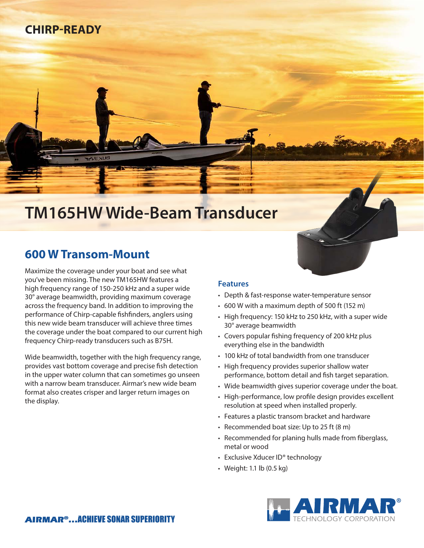# **CHIRP-READY**

# **TM165HW Wide-Beam Transducer**

## **600 W Transom-Mount**

Maximize the coverage under your boat and see what you've been missing. The new TM165HW features a high frequency range of 150-250 kHz and a super wide 30° average beamwidth, providing maximum coverage across the frequency band. In addition to improving the performance of Chirp-capable fishfinders, anglers using this new wide beam transducer will achieve three times the coverage under the boat compared to our current high frequency Chirp-ready transducers such as B75H.

Wide beamwidth, together with the high frequency range, provides vast bottom coverage and precise fish detection in the upper water column that can sometimes go unseen with a narrow beam transducer. Airmar's new wide beam format also creates crisper and larger return images on the display.

### **Features**

- Depth & fast-response water-temperature sensor
- 600 W with a maximum depth of 500 ft (152 m)
- High frequency: 150 kHz to 250 kHz, with a super wide 30° average beamwidth
- Covers popular fishing frequency of 200 kHz plus everything else in the bandwidth
- 100 kHz of total bandwidth from one transducer
- High frequency provides superior shallow water performance, bottom detail and fish target separation.
- Wide beamwidth gives superior coverage under the boat.
- High-performance, low profile design provides excellent resolution at speed when installed properly.
- Features a plastic transom bracket and hardware
- Recommended boat size: Up to 25 ft (8 m)
- Recommended for planing hulls made from fiberglass, metal or wood
- Exclusive Xducer ID® technology
- Weight: 1.1 lb (0.5 kg)